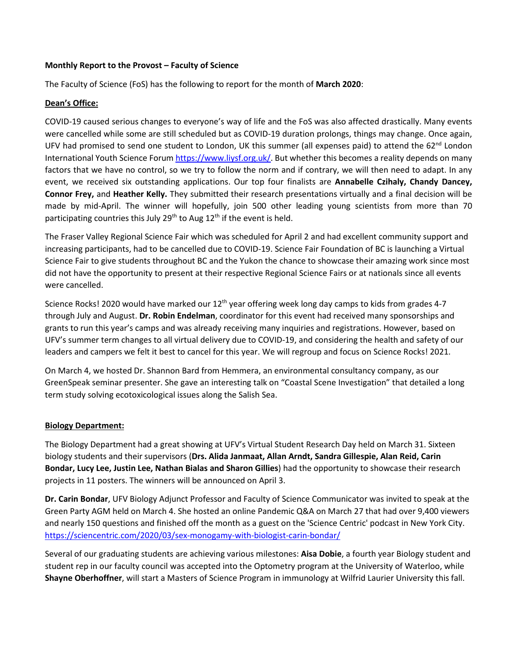## **Monthly Report to the Provost – Faculty of Science**

The Faculty of Science (FoS) has the following to report for the month of **March 2020**:

## **Dean's Office:**

COVID-19 caused serious changes to everyone's way of life and the FoS was also affected drastically. Many events were cancelled while some are still scheduled but as COVID-19 duration prolongs, things may change. Once again, UFV had promised to send one student to London, UK this summer (all expenses paid) to attend the  $62^{nd}$  London International Youth Science Forum [https://www.liysf.org.uk/.](https://www.liysf.org.uk/) But whether this becomes a reality depends on many factors that we have no control, so we try to follow the norm and if contrary, we will then need to adapt. In any event, we received six outstanding applications. Our top four finalists are **Annabelle Czihaly, Chandy Dancey, Connor Frey,** and **Heather Kelly.** They submitted their research presentations virtually and a final decision will be made by mid-April. The winner will hopefully, join 500 other leading young scientists from more than 70 participating countries this July  $29<sup>th</sup>$  to Aug  $12<sup>th</sup>$  if the event is held.

The Fraser Valley Regional Science Fair which was scheduled for April 2 and had excellent community support and increasing participants, had to be cancelled due to COVID-19. Science Fair Foundation of BC is launching a Virtual Science Fair to give students throughout BC and the Yukon the chance to showcase their amazing work since most did not have the opportunity to present at their respective Regional Science Fairs or at nationals since all events were cancelled.

Science Rocks! 2020 would have marked our  $12<sup>th</sup>$  year offering week long day camps to kids from grades 4-7 through July and August. **Dr. Robin Endelman**, coordinator for this event had received many sponsorships and grants to run this year's camps and was already receiving many inquiries and registrations. However, based on UFV's summer term changes to all virtual delivery due to COVID-19, and considering the health and safety of our leaders and campers we felt it best to cancel for this year. We will regroup and focus on Science Rocks! 2021.

On March 4, we hosted Dr. Shannon Bard from Hemmera, an environmental consultancy company, as our GreenSpeak seminar presenter. She gave an interesting talk on "Coastal Scene Investigation" that detailed a long term study solving ecotoxicological issues along the Salish Sea.

## **Biology Department:**

The Biology Department had a great showing at UFV's Virtual Student Research Day held on March 31. Sixteen biology students and their supervisors (**Drs. Alida Janmaat, Allan Arndt, Sandra Gillespie, Alan Reid, Carin Bondar, Lucy Lee, Justin Lee, Nathan Bialas and Sharon Gillies**) had the opportunity to showcase their research projects in 11 posters. The winners will be announced on April 3.

**Dr. Carin Bondar**, UFV Biology Adjunct Professor and Faculty of Science Communicator was invited to speak at the Green Party AGM held on March 4. She hosted an online Pandemic Q&A on March 27 that had over 9,400 viewers and nearly 150 questions and finished off the month as a guest on the 'Science Centric' podcast in New York City. <https://sciencentric.com/2020/03/sex-monogamy-with-biologist-carin-bondar/>

Several of our graduating students are achieving various milestones: **Aisa Dobie**, a fourth year Biology student and student rep in our faculty council was accepted into the Optometry program at the University of Waterloo, while **Shayne Oberhoffner**, will start a Masters of Science Program in immunology at Wilfrid Laurier University this fall.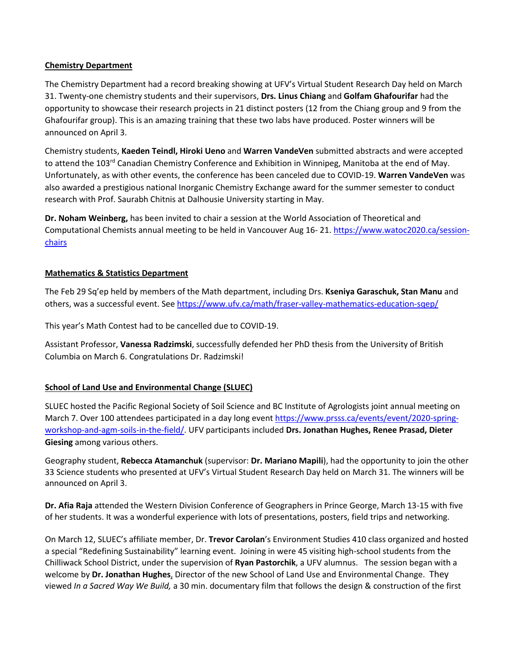## **Chemistry Department**

The Chemistry Department had a record breaking showing at UFV's Virtual Student Research Day held on March 31. Twenty-one chemistry students and their supervisors, **Drs. Linus Chiang** and **Golfam Ghafourifar** had the opportunity to showcase their research projects in 21 distinct posters (12 from the Chiang group and 9 from the Ghafourifar group). This is an amazing training that these two labs have produced. Poster winners will be announced on April 3.

Chemistry students, **Kaeden Teindl, Hiroki Ueno** and **Warren VandeVen** submitted abstracts and were accepted to attend the 103<sup>rd</sup> Canadian Chemistry Conference and Exhibition in Winnipeg, Manitoba at the end of May. Unfortunately, as with other events, the conference has been canceled due to COVID-19. **Warren VandeVen** was also awarded a prestigious national Inorganic Chemistry Exchange award for the summer semester to conduct research with Prof. Saurabh Chitnis at Dalhousie University starting in May.

**Dr. Noham Weinberg,** has been invited to chair a session at the World Association of Theoretical and Computational Chemists annual meeting to be held in Vancouver Aug 16- 21[. https://www.watoc2020.ca/session](https://www.watoc2020.ca/session-chairs)[chairs](https://www.watoc2020.ca/session-chairs)

# **Mathematics & Statistics Department**

The Feb 29 Sq'ep held by members of the Math department, including Drs. **Kseniya Garaschuk, Stan Manu** and others, was a successful event. Se[e https://www.ufv.ca/math/fraser-valley-mathematics-education-sqep/](https://www.ufv.ca/math/fraser-valley-mathematics-education-sqep/)

This year's Math Contest had to be cancelled due to COVID-19.

Assistant Professor, **Vanessa Radzimski**, successfully defended her PhD thesis from the University of British Columbia on March 6. Congratulations Dr. Radzimski!

# **School of Land Use and Environmental Change (SLUEC)**

SLUEC hosted the Pacific Regional Society of Soil Science and BC Institute of Agrologists joint annual meeting on March 7. Over 100 attendees participated in a day long event [https://www.prsss.ca/events/event/2020-spring](https://www.prsss.ca/events/event/2020-spring-workshop-and-agm-soils-in-the-field/)[workshop-and-agm-soils-in-the-field/.](https://www.prsss.ca/events/event/2020-spring-workshop-and-agm-soils-in-the-field/) UFV participants included **Drs. Jonathan Hughes, Renee Prasad, Dieter Giesing** among various others.

Geography student, **Rebecca Atamanchuk** (supervisor: **Dr. Mariano Mapili**), had the opportunity to join the other 33 Science students who presented at UFV's Virtual Student Research Day held on March 31. The winners will be announced on April 3.

**Dr. Afia Raja** attended the Western Division Conference of Geographers in Prince George, March 13-15 with five of her students. It was a wonderful experience with lots of presentations, posters, field trips and networking.

On March 12, SLUEC's affiliate member, Dr. **Trevor Carolan**'s Environment Studies 410 class organized and hosted a special "Redefining Sustainability" learning event. Joining in were 45 visiting high-school students from the Chilliwack School District, under the supervision of **Ryan Pastorchik**, a UFV alumnus. The session began with a welcome by **Dr. Jonathan Hughes**, Director of the new School of Land Use and Environmental Change. They viewed *In a Sacred Way We Build,* a 30 min. documentary film that follows the design & construction of the first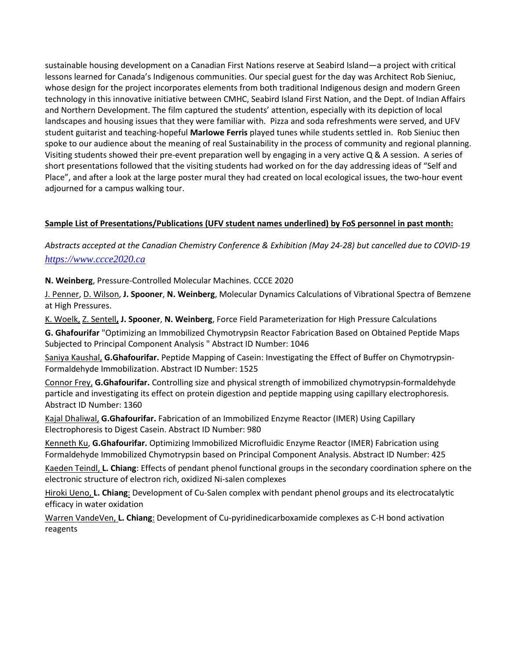sustainable housing development on a Canadian First Nations reserve at Seabird Island—a project with critical lessons learned for Canada's Indigenous communities. Our special guest for the day was Architect Rob Sieniuc, whose design for the project incorporates elements from both traditional Indigenous design and modern Green technology in this innovative initiative between CMHC, Seabird Island First Nation, and the Dept. of Indian Affairs and Northern Development. The film captured the students' attention, especially with its depiction of local landscapes and housing issues that they were familiar with. Pizza and soda refreshments were served, and UFV student guitarist and teaching-hopeful **Marlowe Ferris** played tunes while students settled in. Rob Sieniuc then spoke to our audience about the meaning of real Sustainability in the process of community and regional planning. Visiting students showed their pre-event preparation well by engaging in a very active Q & A session. A series of short presentations followed that the visiting students had worked on for the day addressing ideas of "Self and Place", and after a look at the large poster mural they had created on local ecological issues, the two-hour event adjourned for a campus walking tour.

# **Sample List of Presentations/Publications (UFV student names underlined) by FoS personnel in past month:**

*Abstracts accepted at the Canadian Chemistry Conference & Exhibition (May 24-28) but cancelled due to COVID-19 [https://www.ccce2020.ca](https://www.ccce2020.ca/)*

**N. Weinberg**, Pressure-Controlled Molecular Machines. CCCE 2020

J. Penner, D. Wilson, **J. Spooner**, **N. Weinberg**, Molecular Dynamics Calculations of Vibrational Spectra of Bemzene at High Pressures.

K. Woelk, Z. Sentell**, J. Spooner**, **N. Weinberg**, Force Field Parameterization for High Pressure Calculations

**G. Ghafourifar** "Optimizing an Immobilized Chymotrypsin Reactor Fabrication Based on Obtained Peptide Maps Subjected to Principal Component Analysis " Abstract ID Number: 1046

Saniya Kaushal, **G.Ghafourifar.** Peptide Mapping of Casein: Investigating the Effect of Buffer on Chymotrypsin-Formaldehyde Immobilization. Abstract ID Number: 1525

Connor Frey, **G.Ghafourifar.** Controlling size and physical strength of immobilized chymotrypsin-formaldehyde particle and investigating its effect on protein digestion and peptide mapping using capillary electrophoresis. Abstract ID Number: 1360

Kajal Dhaliwal, **G.Ghafourifar.** Fabrication of an Immobilized Enzyme Reactor (IMER) Using Capillary Electrophoresis to Digest Casein. Abstract ID Number: 980

Kenneth Ku, **G.Ghafourifar.** Optimizing Immobilized Microfluidic Enzyme Reactor (IMER) Fabrication using Formaldehyde Immobilized Chymotrypsin based on Principal Component Analysis. Abstract ID Number: 425

Kaeden Teindl, **L. Chiang**: Effects of pendant phenol functional groups in the secondary coordination sphere on the electronic structure of electron rich, oxidized Ni-salen complexes

Hiroki Ueno, **L. Chiang**: Development of Cu-Salen complex with pendant phenol groups and its electrocatalytic efficacy in water oxidation

Warren VandeVen, **L. Chiang**: Development of Cu-pyridinedicarboxamide complexes as C-H bond activation reagents